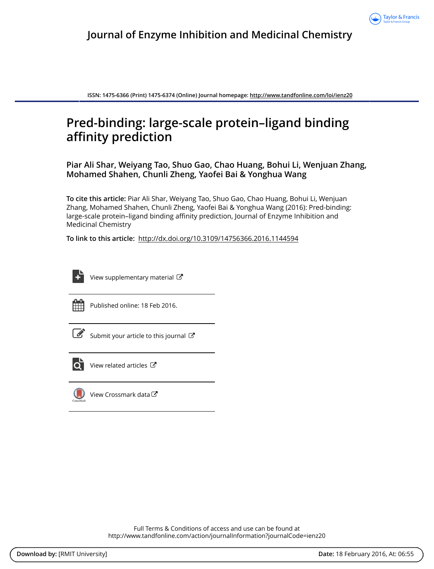

**ISSN: 1475-6366 (Print) 1475-6374 (Online) Journal homepage:<http://www.tandfonline.com/loi/ienz20>**

# **Pred-binding: large-scale protein–ligand binding affinity prediction**

**Piar Ali Shar, Weiyang Tao, Shuo Gao, Chao Huang, Bohui Li, Wenjuan Zhang, Mohamed Shahen, Chunli Zheng, Yaofei Bai & Yonghua Wang**

**To cite this article:** Piar Ali Shar, Weiyang Tao, Shuo Gao, Chao Huang, Bohui Li, Wenjuan Zhang, Mohamed Shahen, Chunli Zheng, Yaofei Bai & Yonghua Wang (2016): Pred-binding: large-scale protein–ligand binding affinity prediction, Journal of Enzyme Inhibition and Medicinal Chemistry

**To link to this article:** <http://dx.doi.org/10.3109/14756366.2016.1144594>



[View supplementary material](http://www.tandfonline.com/doi/suppl/10.3109/14756366.2016.1144594)  $\mathbb{Z}$ 



Published online: 18 Feb 2016.

[Submit your article to this journal](http://www.tandfonline.com/action/authorSubmission?journalCode=ienz20&page=instructions) C



 $\overrightarrow{Q}$  [View related articles](http://www.tandfonline.com/doi/mlt/10.3109/14756366.2016.1144594)  $\overrightarrow{C}$ 



[View Crossmark data](http://crossmark.crossref.org/dialog/?doi=10.3109/14756366.2016.1144594&domain=pdf&date_stamp=2016-02-18)

Full Terms & Conditions of access and use can be found at <http://www.tandfonline.com/action/journalInformation?journalCode=ienz20>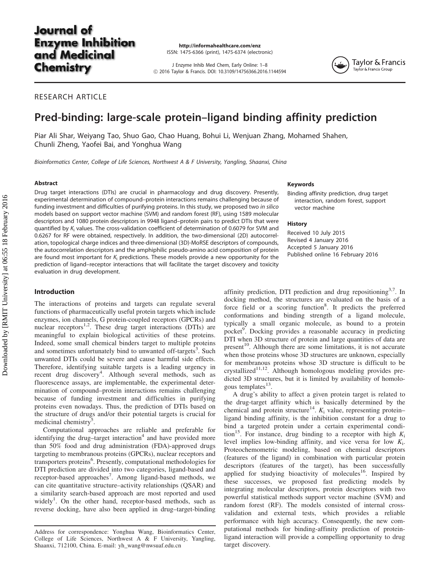# **Journal** of **Enzyme Inhibition** and Medicinal **Chemistry**

http://informahealthcare.com/enz ISSN: 1475-6366 (print), 1475-6374 (electronic)

J Enzyme Inhib Med Chem, Early Online: 1–8 ! 2016 Taylor & Francis. DOI: 10.3109/14756366.2016.1144594



# RESEARCH ARTICLE

# Pred-binding: large-scale protein–ligand binding affinity prediction

Piar Ali Shar, Weiyang Tao, Shuo Gao, Chao Huang, Bohui Li, Wenjuan Zhang, Mohamed Shahen, Chunli Zheng, Yaofei Bai, and Yonghua Wang

Bioinformatics Center, College of Life Sciences, Northwest A & F University, Yangling, Shaanxi, China

#### **Abstract**

Drug target interactions (DTIs) are crucial in pharmacology and drug discovery. Presently, experimental determination of compound–protein interactions remains challenging because of funding investment and difficulties of purifying proteins. In this study, we proposed two in silico models based on support vector machine (SVM) and random forest (RF), using 1589 molecular descriptors and 1080 protein descriptors in 9948 ligand–protein pairs to predict DTIs that were quantified by  $K_i$  values. The cross-validation coefficient of determination of 0.6079 for SVM and 0.6267 for RF were obtained, respectively. In addition, the two-dimensional (2D) autocorrelation, topological charge indices and three-dimensional (3D)-MoRSE descriptors of compounds, the autocorrelation descriptors and the amphiphilic pseudo-amino acid composition of protein are found most important for  $K_i$  predictions. These models provide a new opportunity for the prediction of ligand–receptor interactions that will facilitate the target discovery and toxicity evaluation in drug development.

#### Introduction

The interactions of proteins and targets can regulate several functions of pharmaceutically useful protein targets which include enzymes, ion channels, G protein-coupled receptors (GPCRs) and nuclear receptors<sup>[1,2](#page-7-0)</sup>. These drug target interactions (DTIs) are meaningful to explain biological activities of these proteins. Indeed, some small chemical binders target to multiple proteins and sometimes unfortunately bind to unwanted off-targets<sup>[3](#page-7-0)</sup>. Such unwanted DTIs could be severe and cause harmful side effects. Therefore, identifying suitable targets is a leading urgency in recent drug discovery<sup>[4](#page-7-0)</sup>. Although several methods, such as fluorescence assays, are implementable, the experimental determination of compound–protein interactions remains challenging because of funding investment and difficulties in purifying proteins even nowadays. Thus, the prediction of DTIs based on the structure of drugs and/or their potential targets is crucial for medicinal chemistry<sup>[5](#page-7-0)</sup>.

Computational approaches are reliable and preferable for identifying the drug–target interaction $4$  and have provided more than 50% food and drug administration (FDA)-approved drugs targeting to membranous proteins (GPCRs), nuclear receptors and transporters proteins<sup>[6](#page-7-0)</sup>. Presently, computational methodologies for DTI prediction are divided into two categories, ligand-based and receptor-based approaches<sup>[7](#page-7-0)</sup>. Among ligand-based methods, we can cite quantitative structure–activity relationships (QSAR) and a similarity search-based approach are most reported and used widely<sup>[1](#page-7-0)</sup>. On the other hand, receptor-based methods, such as reverse docking, have also been applied in drug–target-binding

#### Keywords

Binding affinity prediction, drug target interaction, random forest, support vector machine

#### **History**

Received 10 July 2015 Revised 4 January 2016 Accepted 5 January 2016 Published online 16 February 2016

affinity prediction, DTI prediction and drug repositioning<sup>3,7</sup>. In docking method, the structures are evaluated on the basis of a force field or a scoring function<sup>[8](#page-7-0)</sup>. It predicts the preferred conformations and binding strength of a ligand molecule, typically a small organic molecule, as bound to a protein pocket<sup>[9](#page-7-0)</sup>. Docking provides a reasonable accuracy in predicting DTI when 3D structure of protein and large quantities of data are present<sup>[10](#page-7-0)</sup>. Although there are some limitations, it is not accurate when those proteins whose 3D structures are unknown, especially for membranous proteins whose 3D structure is difficult to be crystallized<sup>11,12</sup>. Although homologous modeling provides predicted 3D structures, but it is limited by availability of homolo-gous templates<sup>[13](#page-7-0)</sup>.

A drug's ability to affect a given protein target is related to the drug-target affinity which is basically determined by the chemical and protein structure<sup>[14](#page-7-0)</sup>.  $K_i$  value, representing protein– ligand binding affinity, is the inhibition constant for a drug to bind a targeted protein under a certain experimental condition<sup>15</sup>. For instance, drug binding to a receptor with high  $K_i$ level implies low-binding affinity, and vice versa for low  $K_i$ . Proteochemometric modeling, based on chemical descriptors (features of the ligand) in combination with particular protein descriptors (features of the target), has been successfully applied for studying bioactivity of molecules<sup>16</sup>. Inspired by these successes, we proposed fast predicting models by integrating molecular descriptors, protein descriptors with two powerful statistical methods support vector machine (SVM) and random forest (RF). The models consisted of internal crossvalidation and external tests, which provides a reliable performance with high accuracy. Consequently, the new computational methods for binding-affinity prediction of proteinligand interaction will provide a compelling opportunity to drug target discovery.

Address for correspondence: Yonghua Wang, Bioinformatics Center, College of Life Sciences, Northwest A & F University, Yangling, Shaanxi, 712100, China. E-mail: yh\_wang@nwsuaf.edu.cn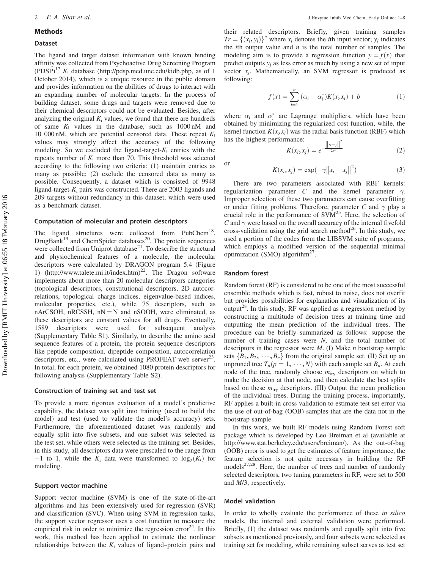#### Methods

#### Dataset

The ligand and target dataset information with known binding affinity was collected from Psychoactive Drug Screening Program  $(PDSP)^{17} K_i$  $(PDSP)^{17} K_i$  $(PDSP)^{17} K_i$  database (http://pdsp.med.unc.edu/kidb.php, as of 1 October 2014), which is a unique resource in the public domain and provides information on the abilities of drugs to interact with an expanding number of molecular targets. In the process of building dataset, some drugs and targets were removed due to their chemical descriptors could not be evaluated. Besides, after analyzing the original  $K_i$  values, we found that there are hundreds of same  $K_i$  values in the database, such as  $1000 \text{ nM}$  and 10 000 nM, which are potential censored data. These repeat  $K_i$ values may strongly affect the accuracy of the following modeling. So we excluded the ligand-target- $K_i$  entries with the repeats number of  $K_i$  more than 70. This threshold was selected according to the following two criteria: (1) maintain entries as many as possible; (2) exclude the censored data as many as possible. Consequently, a dataset which is consisted of 9948 ligand-target- $K_i$  pairs was constructed. There are 2003 ligands and 209 targets without redundancy in this dataset, which were used as a benchmark dataset.

#### Computation of molecular and protein descriptors

The ligand structures were collected from PubChem<sup>18</sup>, DrugBank<sup>[19](#page-7-0)</sup> and ChemSpider databases<sup>20</sup>. The protein sequences were collected from Uniprot database $^{21}$ . To describe the structural and physiochemical features of a molecule, the molecular descriptors were calculated by DRAGON program 5.4 [\(Figure](#page-3-0) [1\)](#page-3-0) (http://www.talete.mi.it/index.htm)<sup>22</sup>. The Dragon software implements about more than 20 molecular descriptors categories (topological descriptors, constitutional descriptors, 2D autocorrelations, topological charge indices, eigenvalue-based indices, molecular properties, etc.), while 75 descriptors, such as nArCSOH, nRCSSH,  $nN = N$  and nSOOH, were eliminated, as these descriptors are constant values for all drugs. Eventually, 1589 descriptors were used for subsequent analysis (Supplementary Table S1). Similarly, to describe the amino acid sequence features of a protein, the protein sequence descriptors like peptide composition, dipeptide composition, autocorrelation descriptors, etc., were calculated using PROFEAT web server $^{23}$ . In total, for each protein, we obtained 1080 protein descriptors for following analysis (Supplementary Table S2).

#### Construction of training set and test set

To provide a more rigorous evaluation of a model's predictive capability, the dataset was split into training (used to build the model) and test (used to validate the model's accuracy) sets. Furthermore, the aforementioned dataset was randomly and equally split into five subsets, and one subset was selected as the test set, while others were selected as the training set. Besides, in this study, all descriptors data were prescaled to the range from  $-1$  to 1, while the  $K_i$  data were transformed to  $\log_2(K_i)$  for modeling.

#### Support vector machine

Support vector machine (SVM) is one of the state-of-the-art algorithms and has been extensively used for regression (SVR) and classification (SVC). When using SVM in regression tasks, the support vector regressor uses a cost function to measure the empirical risk in order to minimize the regression error<sup>[24](#page-7-0)</sup>. In this work, this method has been applied to estimate the nonlinear relationships between the  $K_i$  values of ligand–protein pairs and

their related descriptors. Briefly, given training samples  $Tr = \{(x_i, y_i)\}^n$  where  $x_i$  denotes the *i*th input vector;  $y_i$  indicates the *i*th output value and  $n$  is the total number of samples. The modeling aim is to provide a regression function  $y = f(x)$  that predict outputs  $y_i$  as less error as much by using a new set of input vector  $x_i$ . Mathematically, an SVM regressor is produced as following:

$$
f(x) = \sum_{i=1}^{n} (\alpha_i - \alpha_i^*) K(x, x_i) + b \tag{1}
$$

where  $\alpha_i$  and  $\alpha_i^*$  are Lagrange multipliers, which have been obtained by minimizing the regularized cost function, while, the kernel function  $K(x, x_i)$  was the radial basis function (RBF) which has the highest performance: mance.<br>  $K(x_i, x_j) = e^{-\frac{||x_i - x_j||^2}{2\sigma^2}}$ 

$$
[\mathbf{r}, \mathbf{r}) = \exp(-\alpha ||\mathbf{r}, \mathbf{r}||^2)
$$
 (3)

 $\frac{2\sigma^2}{\sigma^2}$  (2)

or 
$$
K(x_i, x_j) = \exp(-\gamma ||x_i - x_j||^2)
$$
 (3)

There are two parameters associated with RBF kernels: regularization parameter C and the kernel parameter  $\gamma$ . Improper selection of these two parameters can cause overfitting or under fitting problems. Therefore, parameter C and  $\gamma$  play a crucial role in the performance of  $\text{SVM}^{25}$ . Here, the selection of  $C$  and  $\gamma$  were based on the overall accuracy of the internal fivefold cross-validation using the grid search method $^{26}$  $^{26}$  $^{26}$ . In this study, we used a portion of the codes from the LIBSVM suite of programs, which employs a modified version of the sequential minimal optimization (SMO) algorithm<sup>[27](#page-7-0)</sup>.

#### Random forest

Random forest (RF) is considered to be one of the most successful ensemble methods which is fast, robust to noise, does not overfit but provides possibilities for explanation and visualization of its output<sup>[28](#page-7-0)</sup>. In this study, RF was applied as a regression method by constructing a multitude of decision trees at training time and outputting the mean prediction of the individual trees. The procedure can be briefly summarized as follows: suppose the number of training cases were  $N$ , and the total number of descriptors in the regressor were  $M$ . (I) Make  $n$  bootstrap sample sets  ${B_1, B_2, \dots, B_n}$  from the original sample set. (II) Set up an unpruned tree  $T_p(p = 1, \dots, N)$  with each sample set  $B_p$ . At each node of the tree, randomly choose  $m_{\text{try}}$  descriptors on which to make the decision at that node, and then calculate the best splits based on these  $m_{\text{try}}$  descriptors. (III) Output the mean prediction of the individual trees. During the training process, importantly, RF applies a built-in cross validation to estimate test set error via the use of out-of-bag (OOB) samples that are the data not in the bootstrap sample.

In this work, we built RF models using Random Forest soft package which is developed by Leo Breiman et al (available at http://www.stat.berkeley.edu/users/breiman/). As the out-of-bag (OOB) error is used to get the estimates of feature importance, the feature selection is not quite necessary in building the RF models $27,28$ . Here, the number of trees and number of randomly selected descriptors, two tuning parameters in RF, were set to 500 and M/3, respectively.

#### Model validation

In order to wholly evaluate the performance of these *in silico* models, the internal and external validation were performed. Briefly, (1) the dataset was randomly and equally split into five subsets as mentioned previously, and four subsets were selected as training set for modeling, while remaining subset serves as test set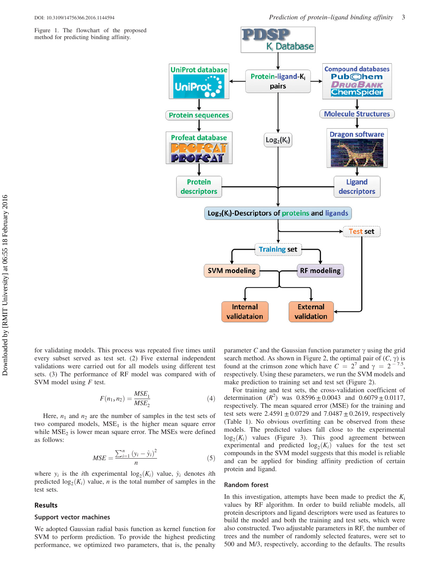<span id="page-3-0"></span>Figure 1. The flowchart of the proposed method for predicting binding affinity.



for validating models. This process was repeated five times until every subset served as test set. (2) Five external independent validations were carried out for all models using different test sets. (3) The performance of RF model was compared with of SVM model using  $F$  test.

$$
F(n_1, n_2) = \frac{MSE_1}{MSE_2} \tag{4}
$$

Here,  $n_1$  and  $n_2$  are the number of samples in the test sets of two compared models,  $MSE<sub>1</sub>$  is the higher mean square error while  $MSE<sub>2</sub>$  is lower mean square error. The MSEs were defined as follows:

$$
MSE = \frac{\sum_{i=1}^{n} (y_i - \hat{y}_i)^2}{n}
$$
 (5)

where  $y_i$  is the *i*th experimental  $\log_2(K_i)$  value,  $\hat{y}_i$  denotes *i*th predicted  $log_2(K_i)$  value, *n* is the total number of samples in the test sets.

#### Results

#### Support vector machines

We adopted Gaussian radial basis function as kernel function for SVM to perform prediction. To provide the highest predicting performance, we optimized two parameters, that is, the penalty

parameter C and the Gaussian function parameter  $\gamma$  using the grid search method. As shown in [Figure 2,](#page-4-0) the optimal pair of  $(C, \gamma)$  is found at the crimson zone which have  $C = 2^7$  and  $\gamma = 2^{-7.5}$ , respectively. Using these parameters, we run the SVM models and make prediction to training set and test set [\(Figure 2\)](#page-4-0).

For training and test sets, the cross-validation coefficient of determination  $(R^2)$  was  $0.8596 \pm 0.0043$  and  $0.6079 \pm 0.0117$ , respectively. The mean squared error (MSE) for the training and test sets were  $2.4591 \pm 0.0729$  and  $7.0487 \pm 0.2619$ , respectively ([Table 1\)](#page-4-0). No obvious overfitting can be observed from these models. The predicted values fall close to the experimental  $log_2(K_i)$  values [\(Figure 3\)](#page-5-0). This good agreement between experimental and predicted  $log_2(K_i)$  values for the test set compounds in the SVM model suggests that this model is reliable and can be applied for binding affinity prediction of certain protein and ligand.

#### Random forest

In this investigation, attempts have been made to predict the  $K_i$ values by RF algorithm. In order to build reliable models, all protein descriptors and ligand descriptors were used as features to build the model and both the training and test sets, which were also constructed. Two adjustable parameters in RF, the number of trees and the number of randomly selected features, were set to 500 and M/3, respectively, according to the defaults. The results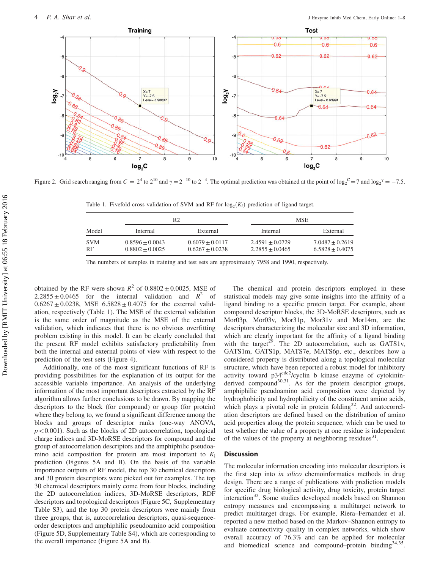<span id="page-4-0"></span>

Figure 2. Grid search ranging from  $C = 2^4$  to  $2^{10}$  and  $\gamma = 2^{-10}$  to  $2^{-4}$ . The optimal prediction was obtained at the point of  $\log_2^{\circ} = 7$  and  $\log_2^{\circ} = -7.5$ .

Table 1. Fivefold cross validation of SVM and RF for  $log_2(K_i)$  prediction of ligand target.

| Model                   | R2                                     |                                          | <b>MSE</b>                                 |                                        |
|-------------------------|----------------------------------------|------------------------------------------|--------------------------------------------|----------------------------------------|
|                         | Internal                               | External                                 | Internal                                   | External                               |
| <b>SVM</b><br><b>RF</b> | $0.8596 + 0.0043$<br>$0.8802 + 0.0025$ | $0.6079 + 0.0117$<br>$0.6267 \pm 0.0238$ | $2.4591 \pm 0.0729$<br>$2.2855 \pm 0.0465$ | $7.0487 + 0.2619$<br>$6.5828 + 0.4075$ |

The numbers of samples in training and test sets are approximately 7958 and 1990, respectively.

obtained by the RF were shown  $R^2$  of 0.8802  $\pm$  0.0025, MSE of  $2.2855 \pm 0.0465$  for the internal validation and  $R^2$  of  $0.6267 \pm 0.0238$ , MSE  $6.5828 \pm 0.4075$  for the external validation, respectively (Table 1). The MSE of the external validation is the same order of magnitude as the MSE of the external validation, which indicates that there is no obvious overfitting problem existing in this model. It can be clearly concluded that the present RF model exhibits satisfactory predictability from both the internal and external points of view with respect to the prediction of the test sets [\(Figure 4\)](#page-5-0).

Additionally, one of the most significant functions of RF is providing possibilities for the explanation of its output for the accessible variable importance. An analysis of the underlying information of the most important descriptors extracted by the RF algorithm allows further conclusions to be drawn. By mapping the descriptors to the block (for compound) or group (for protein) where they belong to, we found a significant difference among the blocks and groups of descriptor ranks (one-way ANOVA,  $p<0.001$ ). Such as the blocks of 2D autocorrelation, topological charge indices and 3D-MoRSE descriptors for compound and the group of autocorrelation descriptors and the amphiphilic pseudoamino acid composition for protein are most important to  $K_i$ prediction ([Figures 5A and B](#page-6-0)). On the basis of the variable importance outputs of RF model, the top 30 chemical descriptors and 30 protein descriptors were picked out for examples. The top 30 chemical descriptors mainly come from four blocks, including the 2D autocorrelation indices, 3D-MoRSE descriptors, RDF descriptors and topological descriptors ([Figure 5C](#page-6-0), Supplementary Table S3), and the top 30 protein descriptors were mainly from three groups, that is, autocorrelation descriptors, quasi-sequenceorder descriptors and amphiphilic pseudoamino acid composition [\(Figure 5D,](#page-6-0) Supplementary Table S4), which are corresponding to the overall importance ([Figure 5A and B\)](#page-6-0).

The chemical and protein descriptors employed in these statistical models may give some insights into the affinity of a ligand binding to a specific protein target. For example, about compound descriptor blocks, the 3D-MoRSE descriptors, such as Mor03p, Mor03v, Mor31p, Mor31v and Mor14m, are the descriptors characterizing the molecular size and 3D information, which are clearly important for the affinity of a ligand binding with the target<sup>29</sup>. The 2D autocorrelation, such as GATS1v, GATS1m, GATS1p, MATS7e, MATS6p, etc., describes how a considered property is distributed along a topological molecular structure, which have been reported a robust model for inhibitory activity toward  $p34^{cdc2}/c$ yclin b kinase enzyme of cytokininderived compound<sup>30,31</sup>. As for the protein descriptor groups, amphiphilic pseudoamino acid composition were depicted by hydrophobicity and hydrophilicity of the constituent amino acids, which plays a pivotal role in protein folding $32$ . And autocorrelation descriptors are defined based on the distribution of amino acid properties along the protein sequence, which can be used to test whether the value of a property at one residue is independent of the values of the property at neighboring residues<sup>31</sup>.

#### **Discussion**

The molecular information encoding into molecular descriptors is the first step into in silico chemoinformatics methods in drug design. There are a range of publications with prediction models for specific drug biological activity, drug toxicity, protein target interaction<sup>33</sup>. Some studies developed models based on Shannon entropy measures and encompassing a multitarget network to predict multitarget drugs. For example, Riera–Fernandez et al. reported a new method based on the Markov–Shannon entropy to evaluate connectivity quality in complex networks, which show overall accuracy of 76.3% and can be applied for molecular and biomedical science and compound–protein binding<sup>34,35</sup>.

Downloaded by [RMIT University] at 06:55 18 February 2016 Downloaded by [RMIT University] at 06:55 18 February 2016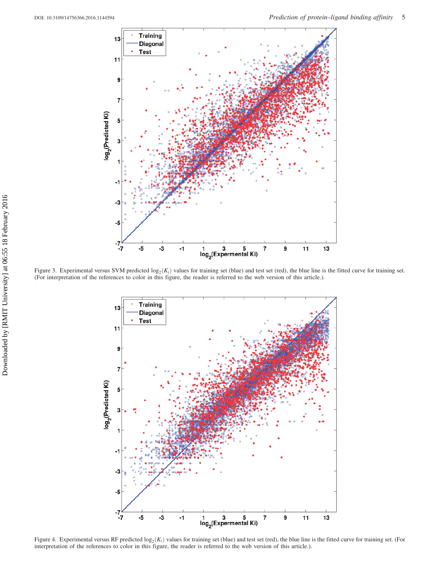<span id="page-5-0"></span>

Figure 3. Experimental versus SVM predicted  $\log_2(K_i)$  values for training set (blue) and test set (red), the blue line is the fitted curve for training set. (For interpretation of the references to color in this figure, the reader is referred to the web version of this article.).



Figure 4. Experimental versus RF predicted  $log_2(K_i)$  values for training set (blue) and test set (red), the blue line is the fitted curve for training set. (For interpretation of the references to color in this figure, the reader is referred to the web version of this article.).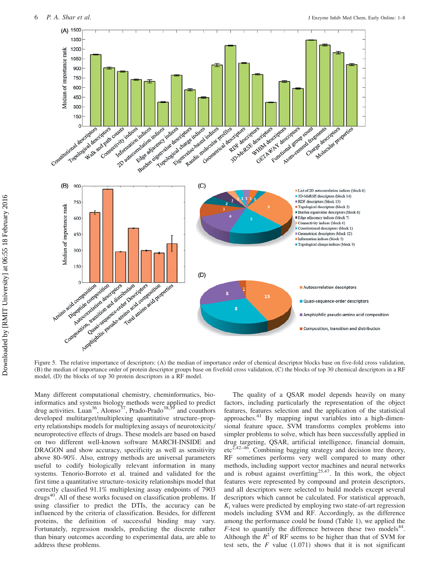<span id="page-6-0"></span>

Figure 5. The relative importance of descriptors: (A) the median of importance order of chemical descriptor blocks base on five-fold cross validation, (B) the median of importance order of protein descriptor groups base on fivefold cross validation, (C) the blocks of top 30 chemical descriptors in a RF model, (D) the blocks of top 30 protein descriptors in a RF model.

Many different computational chemistry, cheminformatics, bioinformatics and systems biology methods were applied to predict drug activities. Luan<sup>36</sup>, Alonso<sup>[37](#page-8-0)</sup>, Prado-Prado<sup>[38,39](#page-8-0)</sup> and coauthors developed multitarget/multiplexing quantitative structure–property relationships models for multiplexing assays of neurotoxicity/ neuroprotective effects of drugs. These models are based on based on two different well-known software MARCH-INSIDE and DRAGON and show accuracy, specificity as well as sensitivity above 80–90%. Also, entropy methods are universal parameters useful to codify biologically relevant information in many systems. Tenorio-Borroto et al. trained and validated for the first time a quantitative structure–toxicity relationships model that correctly classified 91.1% multiplexing assay endpoints of 7903 drugs<sup>40</sup>. All of these works focused on classification problems. If using classifier to predict the DTIs, the accuracy can be influenced by the criteria of classification. Besides, for different proteins, the definition of successful binding may vary. Fortunately, regression models, predicting the discrete rather than binary outcomes according to experimental data, are able to address these problems.

The quality of a QSAR model depends heavily on many factors, including particularly the representation of the object features, features selection and the application of the statistical approaches.[41](#page-8-0) By mapping input variables into a high-dimensional feature space, SVM transforms complex problems into simpler problems to solve, which has been successfully applied in drug targeting, QSAR, artificial intelligence, financial domain,  $\text{etc}^{2,42-46}$ . Combining bagging strategy and decision tree theory, RF sometimes performs very well compared to many other methods, including support vector machines and neural networks and is robust against overfitting<sup>25,47</sup>. In this work, the object features were represented by compound and protein descriptors, and all descriptors were selected to build models except several descriptors which cannot be calculated. For statistical approach,  $K_i$  values were predicted by employing two state-of-art regression models including SVM and RF. Accordingly, as the difference among the performance could be found [\(Table 1](#page-4-0)), we applied the  $F$ -test to quantify the difference between these two models<sup>44</sup>. Although the  $R^2$  of RF seems to be higher than that of SVM for test sets, the  $F$  value (1.071) shows that it is not significant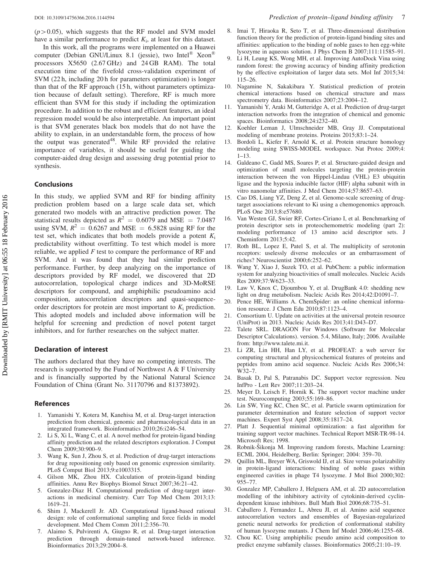<span id="page-7-0"></span>In this work, all the programs were implemented on a Huawei computer (Debian GNU/Linux 8.1 (jessie), two Intel<sup>®</sup> Xeon<sup>®</sup> processors X5650 (2.67 GHz) and 24 GB RAM). The total execution time of the fivefold cross-validation experiment of SVM (22 h, including 20 h for parameters optimization) is longer than that of the RF approach (15 h, without parameters optimization because of default setting). Therefore, RF is much more efficient than SVM for this study if including the optimization procedure. In addition to the robust and efficient features, an ideal regression model would be also interpretable. An important point is that SVM generates black box models that do not have the ability to explain, in an understandable form, the process of how the output was generated<sup>48</sup>. While RF provided the relative importance of variables, it should be useful for guiding the computer-aided drug design and assessing drug potential prior to synthesis.

## Conclusions

In this study, we applied SVM and RF for binding affinity prediction problem based on a large scale data set, which generated two models with an attractive prediction power. The statistical results depicted as  $R^2 = 0.6079$  and MSE = 7.0487 using SVM,  $R^2 = 0.6267$  and MSE = 6.5828 using RF for the test set, which indicates that both models provide a potent  $K_i$ predictability without overfitting. To test which model is more reliable, we applied  $F$  test to compare the performance of RF and SVM. And it was found that they had similar prediction performance. Further, by deep analyzing on the importance of descriptors provided by RF model, we discovered that 2D autocorrelation, topological charge indices and 3D-MoRSE descriptors for compound, and amphiphilic pseudoamino acid composition, autocorrelation descriptors and quasi-sequenceorder descriptors for protein are most important to  $K_i$  prediction. This adopted models and included above information will be helpful for screening and prediction of novel potent target inhibitors, and for further researches on the subject matter.

### Declaration of interest

The authors declared that they have no competing interests. The research is supported by the Fund of Northwest A  $&$  F University and is financially supported by the National Natural Science Foundation of China (Grant No. 31170796 and 81373892).

### References

- 1. Yamanishi Y, Kotera M, Kanehisa M, et al. Drug-target interaction prediction from chemical, genomic and pharmacological data in an integrated framework. Bioinformatics 2010;26:i246–54.
- 2. Li S, Xi L, Wang C, et al. A novel method for protein-ligand binding affinity prediction and the related descriptors exploration. J Comput Chem 2009;30:900–9.
- 3. Wang K, Sun J, Zhou S, et al. Prediction of drug-target interactions for drug repositioning only based on genomic expression similarity. PLoS Comput Biol 2013;9:e1003315.
- 4. Gilson MK, Zhou HX. Calculation of protein-ligand binding affinities. Annu Rev Biophys Biomol Struct 2007;36:21–42.
- 5. Gonzalez-Diaz H. Computational prediction of drug-target interactions in medicinal chemistry. Curr Top Med Chem 2013;13: 1619–21.
- 6. Shim J, Mackerell Jr. AD. Computational ligand-based rational design: role of conformational sampling and force fields in model development. Med Chem Comm 2011;2:356–70.
- 7. Alaimo S, Pulvirenti A, Giugno R, et al. Drug-target interaction prediction through domain-tuned network-based inference. Bioinformatics 2013;29:2004–8.
- 8. Imai T, Hiraoka R, Seto T, et al. Three-dimensional distribution function theory for the prediction of protein-ligand binding sites and affinities: application to the binding of noble gases to hen egg-white lysozyme in aqueous solution. J Phys Chem B 2007;111:11585–91.
- 9. Li H, Leung KS, Wong MH, et al. Improving AutoDock Vina using random forest: the growing accuracy of binding affinity prediction by the effective exploitation of larger data sets. Mol Inf 2015;34: 115–26.
- 10. Nagamine N, Sakakibara Y. Statistical prediction of protein chemical interactions based on chemical structure and mass spectrometry data. Bioinformatics 2007;23:2004–12.
- 11. Yamanishi Y, Araki M, Gutteridge A, et al. Prediction of drug-target interaction networks from the integration of chemical and genomic spaces. Bioinformatics 2008;24:i232–40.
- 12. Koehler Leman J, Ulmschneider MB, Gray JJ. Computational modeling of membrane proteins. Proteins 2015;83:1–24.
- 13. Bordoli L, Kiefer F, Arnold K, et al. Protein structure homology modeling using SWISS-MODEL workspace. Nat Protoc 2009;4:  $1 - 13$ .
- 14. Galdeano C, Gadd MS, Soares P, et al. Structure-guided design and optimization of small molecules targeting the protein-protein interaction between the von Hippel-Lindau (VHL) E3 ubiquitin ligase and the hypoxia inducible factor (HIF) alpha subunit with in vitro nanomolar affinities. J Med Chem 2014;57:8657–63.
- 15. Cao DS, Liang YZ, Deng Z, et al. Genome-scale screening of drugtarget associations relevant to Ki using a chemogenomics approach. PLoS One 2013;8:e57680.
- 16. Van Westen GJ, Swier RF, Cortes-Ciriano I, et al. Benchmarking of protein descriptor sets in proteochemometric modeling (part 2): modeling performance of 13 amino acid descriptor sets. J Cheminform 2013;5:42.
- 17. Roth BL, Lopez E, Patel S, et al. The multiplicity of serotonin receptors: uselessly diverse molecules or an embarrassment of riches? Neuroscientist 2000;6:252–62.
- 18. Wang Y, Xiao J, Suzek TO, et al. PubChem: a public information system for analyzing bioactivities of small molecules. Nucleic Acids Res 2009;37:W623–33.
- 19. Law V, Knox C, Djoumbou Y, et al. DrugBank 4.0: shedding new light on drug metabolism. Nucleic Acids Res 2014;42:D1091–7.
- 20. Pence HE, Williams A. ChemSpider: an online chemical information resource. J Chem Edu 2010;87:1123–4.
- 21. Consortium U. Update on activities at the universal protein resource (UniProt) in 2013. Nucleic Acids Res 2013;41:D43–D7.
- 22. Talete SRL. DRAGON For Windows (Software for Molecular Descriptor Calculations). version. 5.4, Milano, Italy; 2006. Available from: http://www.talete.mi.it.
- 23. Li ZR, Lin HH, Han LY, et al. PROFEAT: a web server for computing structural and physicochemical features of proteins and peptides from amino acid sequence. Nucleic Acids Res 2006;34: W32–7.
- 24. Basak D, Pal S, Patranabis DC. Support vector regression. Neu InfPro - Lett Rev 2007;11:203–24.
- 25. Meyer D, Leisch F, Hornik K. The support vector machine under test. Neurocomputing 2003;55:169–86.
- 26. Lin SW, Ying KC, Chen SC, et al. Particle swarm optimization for parameter determination and feature selection of support vector machines. Expert Syst Appl 2008;35:1817–24.
- 27. Platt J. Sequential minimal optimization: a fast algorithm for training support vector machines. Technical Report MSR-TR-98-14. Microsoft Res; 1998.
- 28. Robnik-Šikonja M. Improving random forests, Machine Learning: ECML 2004, Heidelberg, Berlin: Springer; 2004: 359–70.
- 29. Quillin ML, Breyer WA, Griswold IJ, et al. Size versus polarizability in protein-ligand interactions: binding of noble gases within engineered cavities in phage T4 lysozyme. J Mol Biol 2000;302: 955–77.
- 30. Gonzalez MP, Caballero J, Helguera AM, et al. 2D autocorrelation modelling of the inhibitory activity of cytokinin-derived cyclindependent kinase inhibitors. Bull Math Biol 2006;68:735–51.
- 31. Caballero J, Fernandez L, Abreu JI, et al. Amino acid sequence autocorrelation vectors and ensembles of Bayesian-regularized genetic neural networks for prediction of conformational stability of human lysozyme mutants. J Chem Inf Model 2006;46:1255–68.
- 32. Chou KC. Using amphiphilic pseudo amino acid composition to predict enzyme subfamily classes. Bioinformatics 2005;21:10–19.